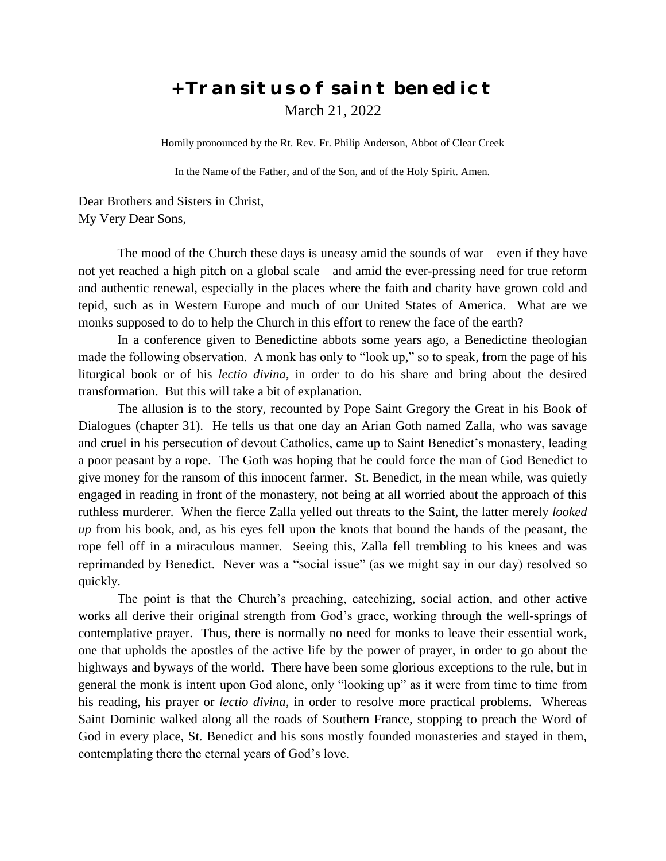## **+ Transitus of saint benedict** March 21, 2022

Homily pronounced by the Rt. Rev. Fr. Philip Anderson, Abbot of Clear Creek

In the Name of the Father, and of the Son, and of the Holy Spirit. Amen.

Dear Brothers and Sisters in Christ, My Very Dear Sons,

The mood of the Church these days is uneasy amid the sounds of war—even if they have not yet reached a high pitch on a global scale—and amid the ever-pressing need for true reform and authentic renewal, especially in the places where the faith and charity have grown cold and tepid, such as in Western Europe and much of our United States of America. What are we monks supposed to do to help the Church in this effort to renew the face of the earth?

In a conference given to Benedictine abbots some years ago, a Benedictine theologian made the following observation. A monk has only to "look up," so to speak, from the page of his liturgical book or of his *lectio divina*, in order to do his share and bring about the desired transformation. But this will take a bit of explanation.

The allusion is to the story, recounted by Pope Saint Gregory the Great in his Book of Dialogues (chapter 31). He tells us that one day an Arian Goth named Zalla, who was savage and cruel in his persecution of devout Catholics, came up to Saint Benedict's monastery, leading a poor peasant by a rope. The Goth was hoping that he could force the man of God Benedict to give money for the ransom of this innocent farmer. St. Benedict, in the mean while, was quietly engaged in reading in front of the monastery, not being at all worried about the approach of this ruthless murderer. When the fierce Zalla yelled out threats to the Saint, the latter merely *looked up* from his book, and, as his eyes fell upon the knots that bound the hands of the peasant, the rope fell off in a miraculous manner. Seeing this, Zalla fell trembling to his knees and was reprimanded by Benedict. Never was a "social issue" (as we might say in our day) resolved so quickly.

The point is that the Church's preaching, catechizing, social action, and other active works all derive their original strength from God's grace, working through the well-springs of contemplative prayer. Thus, there is normally no need for monks to leave their essential work, one that upholds the apostles of the active life by the power of prayer, in order to go about the highways and byways of the world. There have been some glorious exceptions to the rule, but in general the monk is intent upon God alone, only "looking up" as it were from time to time from his reading, his prayer or *lectio divina,* in order to resolve more practical problems. Whereas Saint Dominic walked along all the roads of Southern France, stopping to preach the Word of God in every place, St. Benedict and his sons mostly founded monasteries and stayed in them, contemplating there the eternal years of God's love.